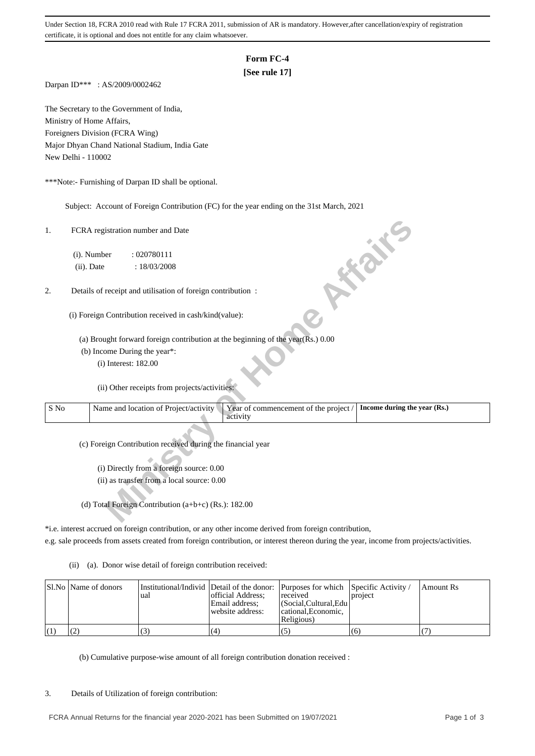Under Section 18, FCRA 2010 read with Rule 17 FCRA 2011, submission of AR is mandatory. However,after cancellation/expiry of registration certificate, it is optional and does not entitle for any claim whatsoever.

## **Form FC-4**

# **[See rule 17]**

Darpan ID\*\*\* : AS/2009/0002462

The Secretary to the Government of India, Ministry of Home Affairs, Foreigners Division (FCRA Wing) Major Dhyan Chand National Stadium, India Gate New Delhi - 110002

\*\*\*Note:- Furnishing of Darpan ID shall be optional.

Subject: Account of Foreign Contribution (FC) for the year ending on the 31st March, 2021

| 1.   | FCRA registration number and Date<br><b>FOR THE</b>                                                                        |
|------|----------------------------------------------------------------------------------------------------------------------------|
|      | (i). Number<br>: 020780111                                                                                                 |
|      | (ii). Date<br>: 18/03/2008                                                                                                 |
|      |                                                                                                                            |
| 2.   | Details of receipt and utilisation of foreign contribution :                                                               |
|      | (i) Foreign Contribution received in cash/kind(value):                                                                     |
|      | (a) Brought forward foreign contribution at the beginning of the year(Rs.) 0.00                                            |
|      | (b) Income During the year*:                                                                                               |
|      | (i) Interest: 182.00                                                                                                       |
|      | (ii) Other receipts from projects/activities:                                                                              |
| S No | Year of commencement of the project /<br>Name and location of Project/activity<br>Income during the year (Rs.)<br>activity |
|      | (c) Foreign Contribution received during the financial year                                                                |
|      | (i) Directly from a foreign source: 0.00                                                                                   |
|      | (ii) as transfer from a local source: 0.00                                                                                 |
|      |                                                                                                                            |
|      | (d) Total Foreign Contribution (a+b+c) (Rs.): 182.00                                                                       |

\*i.e. interest accrued on foreign contribution, or any other income derived from foreign contribution,

e.g. sale proceeds from assets created from foreign contribution, or interest thereon during the year, income from projects/activities.

(ii) (a). Donor wise detail of foreign contribution received:

| SI.No   Name of donors | ual | official Address:<br>Email address:<br>website address: | Institutional/Individ Detail of the donor: Purposes for which Specific Activity /<br>received<br>  (Social.Cultural.Edu)<br>cational. Economic.<br>Religious) | project | Amount Rs |
|------------------------|-----|---------------------------------------------------------|---------------------------------------------------------------------------------------------------------------------------------------------------------------|---------|-----------|
|                        | د ا | (4)                                                     | (5)                                                                                                                                                           | (6)     |           |

(b) Cumulative purpose-wise amount of all foreign contribution donation received :

### 3. Details of Utilization of foreign contribution: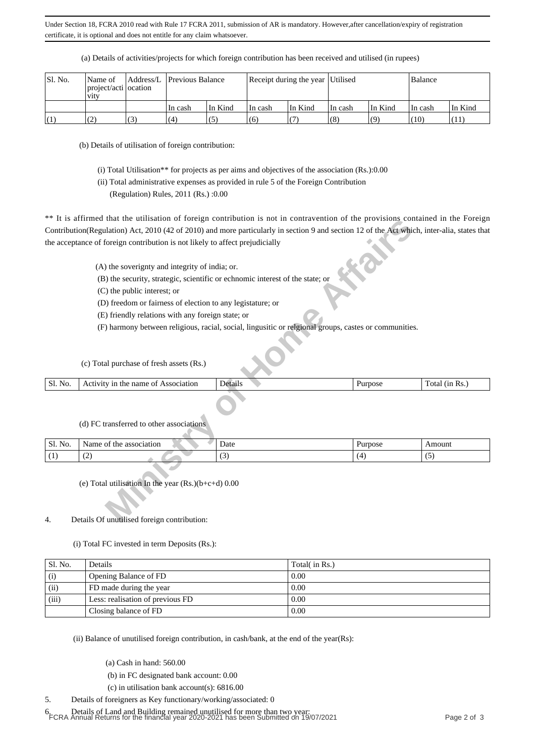Under Section 18, FCRA 2010 read with Rule 17 FCRA 2011, submission of AR is mandatory. However,after cancellation/expiry of registration certificate, it is optional and does not entitle for any claim whatsoever.

| Sl. No. | Name of<br>project/acti ocation<br><b>V1tV</b> |   | Address/L Previous Balance |         | Receipt during the year   Utilised |         |          |                    | Balance |         |
|---------|------------------------------------------------|---|----------------------------|---------|------------------------------------|---------|----------|--------------------|---------|---------|
|         |                                                |   | In cash                    | In Kind | ∣In cash                           | In Kind | ∣In cash | In Kind            | In cash | In Kind |
| (1)     | (2)<br><b>∖∠</b> .                             | 3 | (4)                        | (5      | (6)                                |         | (8)      | $\left( 0 \right)$ | (10)    | (11)    |

(a) Details of activities/projects for which foreign contribution has been received and utilised (in rupees)

(b) Details of utilisation of foreign contribution:

(i) Total Utilisation\*\* for projects as per aims and objectives of the association (Rs.):0.00

(ii) Total administrative expenses as provided in rule 5 of the Foreign Contribution

(Regulation) Rules, 2011 (Rs.) :0.00

\*\* It is affirmed that the utilisation of foreign contribution is not in contravention of the provisions contained in the Foreign Contribution(Regulation) Act, 2010 (42 of 2010) and more particularly in section 9 and section 12 of the Act which, inter-alia, states that the acceptance of foreign contribution is not likely to affect prejudicially

| Sl.<br>No. | Association<br>nar<br>1n<br>- OT<br>$A\cup$<br>ne<br>une<br>. IVI.<br>. | . )e<br>гтанг | urdose | n<br>ota<br>(1n<br>'RS.<br>. |
|------------|-------------------------------------------------------------------------|---------------|--------|------------------------------|
|            |                                                                         |               |        |                              |

|  | (d) FC transferred to other associations |  |  |
|--|------------------------------------------|--|--|
|  |                                          |  |  |

|         | It is arritmed that the utilisation of foreign contribution is not in contravention of the provisions contained in the Poreign                                                                                                                                                                                                |                                                                                                       |         |                |
|---------|-------------------------------------------------------------------------------------------------------------------------------------------------------------------------------------------------------------------------------------------------------------------------------------------------------------------------------|-------------------------------------------------------------------------------------------------------|---------|----------------|
|         | Contribution(Regulation) Act, 2010 (42 of 2010) and more particularly in section 9 and section 12 of the Act which, inter-alia, states that                                                                                                                                                                                   |                                                                                                       |         |                |
|         | the acceptance of foreign contribution is not likely to affect prejudicially                                                                                                                                                                                                                                                  |                                                                                                       |         |                |
|         | (A) the soverignty and integrity of india; or.<br>(B) the security, strategic, scientific or echnomic interest of the state; or<br>(C) the public interest; or<br>(D) freedom or fairness of election to any legistature; or<br>(E) friendly relations with any foreign state; or<br>(c) Total purchase of fresh assets (Rs.) | (F) harmony between religious, racial, social, lingusitic or relgional groups, castes or communities. |         |                |
| Sl. No. | Activity in the name of Association                                                                                                                                                                                                                                                                                           | Details                                                                                               | Purpose | Total (in Rs.) |
|         | (d) FC transferred to other associations                                                                                                                                                                                                                                                                                      |                                                                                                       |         |                |
| Sl. No. | Name of the association                                                                                                                                                                                                                                                                                                       | Date                                                                                                  | Purpose | Amount         |
| (1)     | (2)                                                                                                                                                                                                                                                                                                                           | (3)                                                                                                   | (4)     | (5)            |
| 4.      | (e) Total utilisation In the year $(Rs.)(b+c+d)$ 0.00<br>Details Of unutilised foreign contribution:                                                                                                                                                                                                                          |                                                                                                       |         |                |

### 4. Details Of unutilised foreign contribution:

(i) Total FC invested in term Deposits (Rs.):

| Sl. No. | Details                          | Total( in Rs.) |
|---------|----------------------------------|----------------|
| (i)     | Opening Balance of FD            | 0.00           |
| (ii)    | FD made during the year          | 0.00           |
| (iii)   | Less: realisation of previous FD | 0.00           |
|         | Closing balance of FD            | 0.00           |

(ii) Balance of unutilised foreign contribution, in cash/bank, at the end of the year(Rs):

(a) Cash in hand: 560.00

(b) in FC designated bank account: 0.00

(c) in utilisation bank account(s): 6816.00

5. Details of foreigners as Key functionary/working/associated: 0

6. Details of Land and Building remained unutilised for more than two year: FCRA Annual Returns for the financial year 2020-2021 has been Submitted on 19/07/2021 Page 2 of